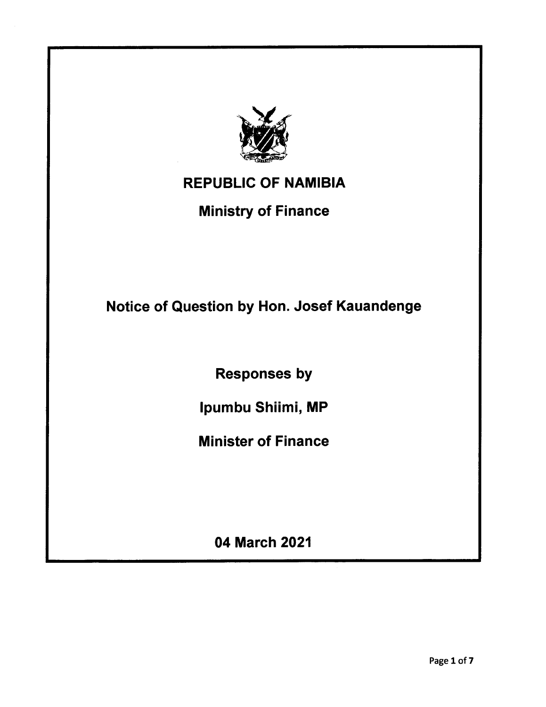

## REPUBLIC OF NAMIBIA

### Ministry of Finance

Notice of Question by Hon. Josef Kauandenge

Responses by

Ipumbu Shiimi, MP

Minister of Finance

04 March 2021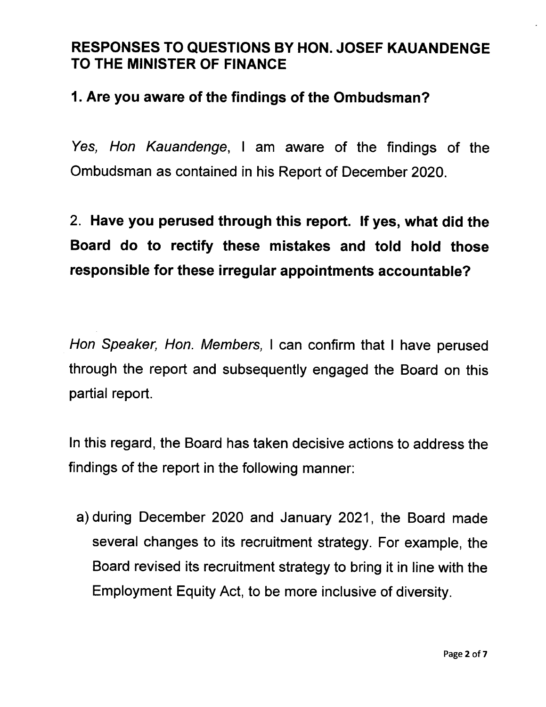#### RESPONSES TO QUESTIONS BY HON. JOSEF KAUANDENGE TO THE MINISTER OF FINANCE

#### 1. Are you aware of the findings of the Ombudsman?

*Yes, Hon Kauandenge,* I am aware of the findings of the Ombudsman as contained in his Report of December 2020.

# 2. Have you perused through this report. If yes, what did the Board do to rectify these mistakes and told hold those responsible for these irregular appointments accountable?

*Hon Speaker, Hon. Members,* I can confirm that I have perused through the report and subsequently engaged the Board on this partial report.

In this regard, the Board has taken decisive actions to address the findings of the report in the following manner:

a) during December 2020 and January 2021, the Board made several changes to its recruitment strategy. For example, the Board revised its recruitment strategy to bring it in line with the Employment Equity Act, to be more inclusive of diversity.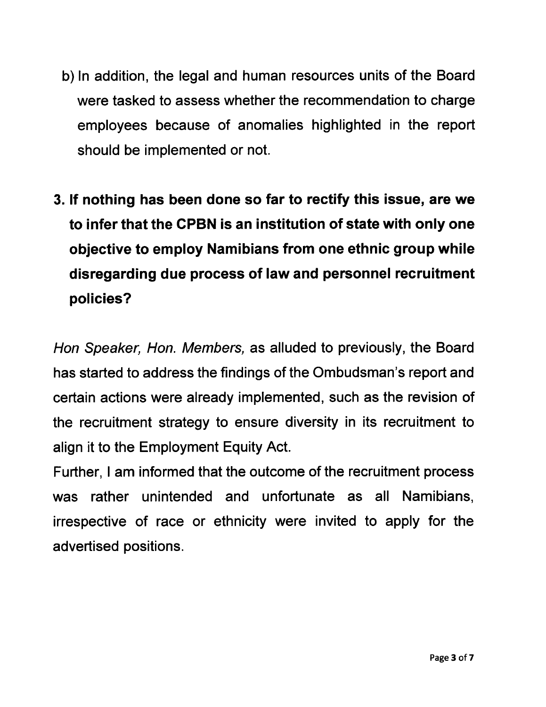- b) In addition, the legal and human resources units of the Board were tasked to assess whether the recommendation to charge employees because of anomalies highlighted in the report should be implemented or not.
- 3. If nothing has been done so far to rectify this issue, are we to infer that the CPBN is an institution of state with only one objective to employ Namibians from one ethnic group while disregarding due process of law and personnel recruitment policies?

*Han Speaker, Han. Members,* as alluded to previously, the Board has started to address the findings of the Ombudsman's report and certain actions were already implemented, such as the revision of the recruitment strategy to ensure diversity in its recruitment to align it to the Employment Equity Act.

Further, I am informed that the outcome of the recruitment process was rather unintended and unfortunate as all Namibians, irrespective of race or ethnicity were invited to apply for the advertised positions.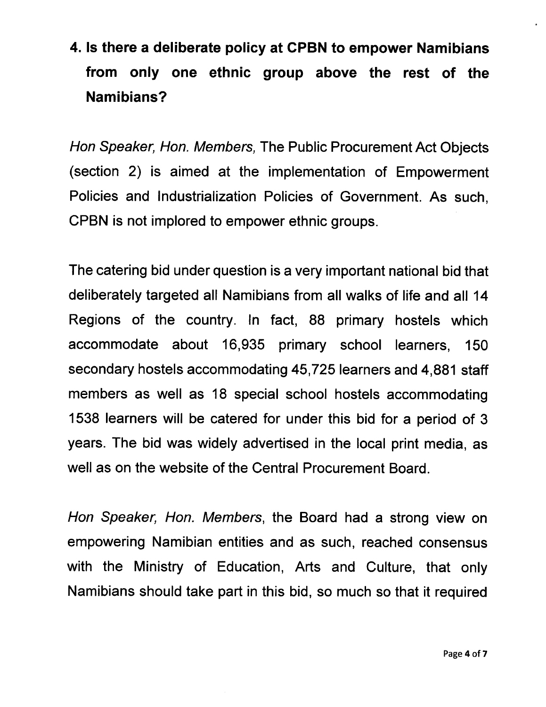## 4. Is there a deliberate policy at CPBN to empower Namibians from only one ethnic group above the rest of the Namibians?

*Han Speaker, Han. Members,* The Public Procurement Act Objects (section 2) is aimed at the implementation of Empowerment Policies and Industrialization Policies of Government. As such, CPBN is not implored to empower ethnic groups.

The catering bid under question is a very important national bid that deliberately targeted all Namibians from all walks of life and all 14 Regions of the country. In fact, 88 primary hostels which accommodate about 16,935 primary school learners, 150 secondary hostels accommodating 45,725 learners and 4,881 staff members as well as 18 special school hostels accommodating 1538 learners will be catered for under this bid for a period of 3 years. The bid was widely advertised in the local print media, as well as on the website of the Central Procurement Board.

*Han Speaker, Han. Members,* the Board had a strong view on empowering Namibian entities and as such, reached consensus with the Ministry of Education, Arts and Culture, that only Namibians should take part in this bid, so much so that it required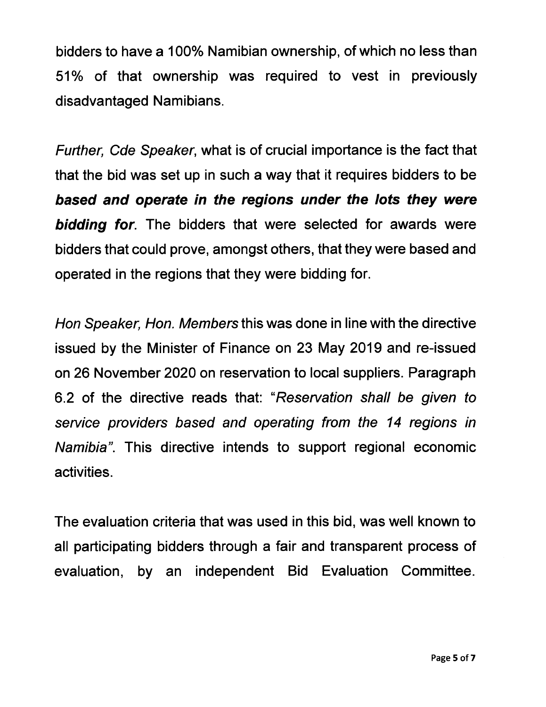bidders to have a 100% Namibian ownership, of which no less than 51% of that ownership was required to vest in previously disadvantaged Namibians.

*Further, Cde Speaker,* what is of crucial importance is the fact that that the bid was set up in such a way that it requires bidders to be *based and operate in the regions under the lots they were bidding for.* The bidders that were selected for awards were bidders that could prove, amongst others, that they were based and operated in the regions that they were bidding for.

*Hon Speaker, Hon. Members* this was done in line with the directive issued by the Minister of Finance on 23 May 2019 and re-issued on 26 November 2020 on reservation to local suppliers. Paragraph 6.2 of the directive reads that: *"Reservation shall be given to service providers based and operating from the* 14 *regions in Namibia".* This directive intends to support regional economic activities.

The evaluation criteria that was used in this bid, was well known to all participating bidders through a fair and transparent process of evaluation, by an independent Bid Evaluation Committee.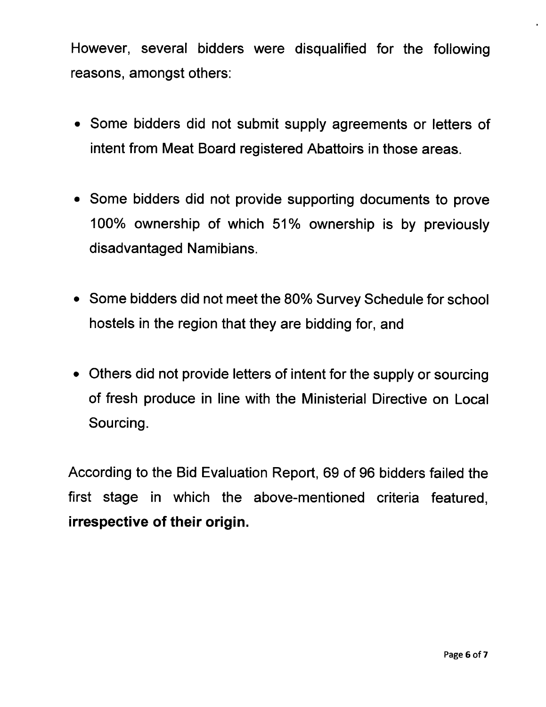However, several bidders were disqualified for the following reasons, amongst others:

- Some bidders did not submit supply agreements or letters of intent from Meat Board registered Abattoirs in those areas.
- Some bidders did not provide supporting documents to prove 100% ownership of which 51% ownership is by previously disadvantaged Namibians.
- Some bidders did not meet the *80%* Survey Schedule for school hostels in the region that they are bidding for, and
- Others did not provide letters of intent for the supply or sourcing of fresh produce in line with the Ministerial Directive on Local Sourcing.

According to the Bid Evaluation Report, 69 of 96 bidders failed the first stage in which the above-mentioned criteria featured, irrespective of their origin.